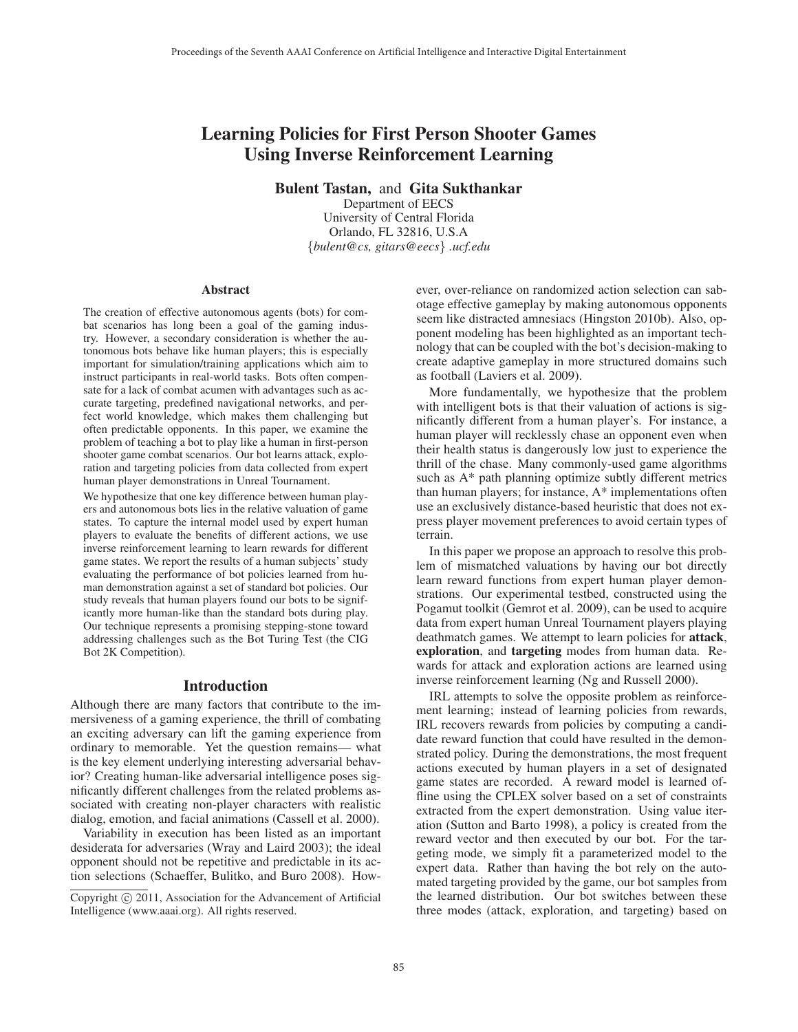# Learning Policies for First Person Shooter Games Using Inverse Reinforcement Learning

Bulent Tastan, and Gita Sukthankar

Department of EECS University of Central Florida Orlando, FL 32816, U.S.A {*bulent@cs, gitars@eecs*} *.ucf.edu*

#### **Abstract**

The creation of effective autonomous agents (bots) for combat scenarios has long been a goal of the gaming industry. However, a secondary consideration is whether the autonomous bots behave like human players; this is especially important for simulation/training applications which aim to instruct participants in real-world tasks. Bots often compensate for a lack of combat acumen with advantages such as accurate targeting, predefined navigational networks, and perfect world knowledge, which makes them challenging but often predictable opponents. In this paper, we examine the problem of teaching a bot to play like a human in first-person shooter game combat scenarios. Our bot learns attack, exploration and targeting policies from data collected from expert human player demonstrations in Unreal Tournament.

We hypothesize that one key difference between human players and autonomous bots lies in the relative valuation of game states. To capture the internal model used by expert human players to evaluate the benefits of different actions, we use inverse reinforcement learning to learn rewards for different game states. We report the results of a human subjects' study evaluating the performance of bot policies learned from human demonstration against a set of standard bot policies. Our study reveals that human players found our bots to be significantly more human-like than the standard bots during play. Our technique represents a promising stepping-stone toward addressing challenges such as the Bot Turing Test (the CIG Bot 2K Competition).

#### Introduction

Although there are many factors that contribute to the immersiveness of a gaming experience, the thrill of combating an exciting adversary can lift the gaming experience from ordinary to memorable. Yet the question remains— what is the key element underlying interesting adversarial behavior? Creating human-like adversarial intelligence poses significantly different challenges from the related problems associated with creating non-player characters with realistic dialog, emotion, and facial animations (Cassell et al. 2000).

Variability in execution has been listed as an important desiderata for adversaries (Wray and Laird 2003); the ideal opponent should not be repetitive and predictable in its action selections (Schaeffer, Bulitko, and Buro 2008). However, over-reliance on randomized action selection can sabotage effective gameplay by making autonomous opponents seem like distracted amnesiacs (Hingston 2010b). Also, opponent modeling has been highlighted as an important technology that can be coupled with the bot's decision-making to create adaptive gameplay in more structured domains such as football (Laviers et al. 2009).

More fundamentally, we hypothesize that the problem with intelligent bots is that their valuation of actions is significantly different from a human player's. For instance, a human player will recklessly chase an opponent even when their health status is dangerously low just to experience the thrill of the chase. Many commonly-used game algorithms such as A\* path planning optimize subtly different metrics than human players; for instance, A\* implementations often use an exclusively distance-based heuristic that does not express player movement preferences to avoid certain types of terrain.

In this paper we propose an approach to resolve this problem of mismatched valuations by having our bot directly learn reward functions from expert human player demonstrations. Our experimental testbed, constructed using the Pogamut toolkit (Gemrot et al. 2009), can be used to acquire data from expert human Unreal Tournament players playing deathmatch games. We attempt to learn policies for **attack**, exploration, and targeting modes from human data. Rewards for attack and exploration actions are learned using inverse reinforcement learning (Ng and Russell 2000).

IRL attempts to solve the opposite problem as reinforcement learning; instead of learning policies from rewards, IRL recovers rewards from policies by computing a candidate reward function that could have resulted in the demonstrated policy. During the demonstrations, the most frequent actions executed by human players in a set of designated game states are recorded. A reward model is learned offline using the CPLEX solver based on a set of constraints extracted from the expert demonstration. Using value iteration (Sutton and Barto 1998), a policy is created from the reward vector and then executed by our bot. For the targeting mode, we simply fit a parameterized model to the expert data. Rather than having the bot rely on the automated targeting provided by the game, our bot samples from the learned distribution. Our bot switches between these three modes (attack, exploration, and targeting) based on

Copyright  $\odot$  2011, Association for the Advancement of Artificial Intelligence (www.aaai.org). All rights reserved.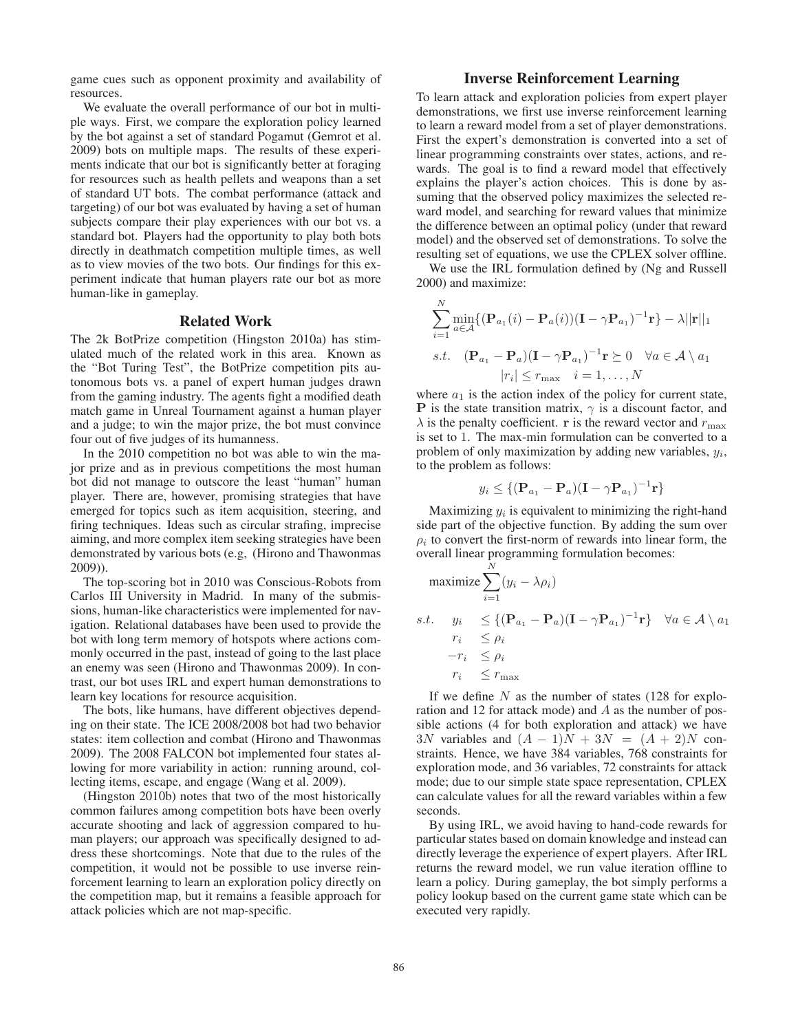game cues such as opponent proximity and availability of resources.

We evaluate the overall performance of our bot in multiple ways. First, we compare the exploration policy learned by the bot against a set of standard Pogamut (Gemrot et al. 2009) bots on multiple maps. The results of these experiments indicate that our bot is significantly better at foraging for resources such as health pellets and weapons than a set of standard UT bots. The combat performance (attack and targeting) of our bot was evaluated by having a set of human subjects compare their play experiences with our bot vs. a standard bot. Players had the opportunity to play both bots directly in deathmatch competition multiple times, as well as to view movies of the two bots. Our findings for this experiment indicate that human players rate our bot as more human-like in gameplay.

### Related Work

The 2k BotPrize competition (Hingston 2010a) has stimulated much of the related work in this area. Known as the "Bot Turing Test", the BotPrize competition pits autonomous bots vs. a panel of expert human judges drawn from the gaming industry. The agents fight a modified death match game in Unreal Tournament against a human player and a judge; to win the major prize, the bot must convince four out of five judges of its humanness.

In the 2010 competition no bot was able to win the major prize and as in previous competitions the most human bot did not manage to outscore the least "human" human player. There are, however, promising strategies that have emerged for topics such as item acquisition, steering, and firing techniques. Ideas such as circular strafing, imprecise aiming, and more complex item seeking strategies have been demonstrated by various bots (e.g, (Hirono and Thawonmas 2009)).

The top-scoring bot in 2010 was Conscious-Robots from Carlos III University in Madrid. In many of the submissions, human-like characteristics were implemented for navigation. Relational databases have been used to provide the bot with long term memory of hotspots where actions commonly occurred in the past, instead of going to the last place an enemy was seen (Hirono and Thawonmas 2009). In contrast, our bot uses IRL and expert human demonstrations to learn key locations for resource acquisition.

The bots, like humans, have different objectives depending on their state. The ICE 2008/2008 bot had two behavior states: item collection and combat (Hirono and Thawonmas 2009). The 2008 FALCON bot implemented four states allowing for more variability in action: running around, collecting items, escape, and engage (Wang et al. 2009).

(Hingston 2010b) notes that two of the most historically common failures among competition bots have been overly accurate shooting and lack of aggression compared to human players; our approach was specifically designed to address these shortcomings. Note that due to the rules of the competition, it would not be possible to use inverse reinforcement learning to learn an exploration policy directly on the competition map, but it remains a feasible approach for attack policies which are not map-specific.

## Inverse Reinforcement Learning

To learn attack and exploration policies from expert player demonstrations, we first use inverse reinforcement learning to learn a reward model from a set of player demonstrations. First the expert's demonstration is converted into a set of linear programming constraints over states, actions, and rewards. The goal is to find a reward model that effectively explains the player's action choices. This is done by assuming that the observed policy maximizes the selected reward model, and searching for reward values that minimize the difference between an optimal policy (under that reward model) and the observed set of demonstrations. To solve the resulting set of equations, we use the CPLEX solver offline.

We use the IRL formulation defined by (Ng and Russell 2000) and maximize:

$$
\sum_{i=1}^{N} \min_{a \in \mathcal{A}} \{ (\mathbf{P}_{a_1}(i) - \mathbf{P}_a(i)) (\mathbf{I} - \gamma \mathbf{P}_{a_1})^{-1} \mathbf{r} \} - \lambda ||\mathbf{r}||_1
$$
  
s.t.  $(\mathbf{P}_{a_1} - \mathbf{P}_a)(\mathbf{I} - \gamma \mathbf{P}_{a_1})^{-1} \mathbf{r} \succeq 0 \quad \forall a \in \mathcal{A} \setminus a_1$   
 $|r_i| \le r_{\text{max}} \quad i = 1, ..., N$ 

where  $a_1$  is the action index of the policy for current state, **P** is the state transition matrix,  $\gamma$  is a discount factor, and  $\lambda$  is the penalty coefficient. **r** is the reward vector and  $r_{\text{max}}$ is set to 1. The max-min formulation can be converted to a problem of only maximization by adding new variables,  $y_i$ , to the problem as follows:

$$
y_i \leq \{ (\mathbf{P}_{a_1} - \mathbf{P}_a)(\mathbf{I} - \gamma \mathbf{P}_{a_1})^{-1} \mathbf{r} \}
$$

Maximizing  $y_i$  is equivalent to minimizing the right-hand side part of the objective function. By adding the sum over  $\rho_i$  to convert the first-norm of rewards into linear form, the overall linear programming formulation becomes:

$$
\begin{aligned}\n\text{maximize} & \sum_{i=1}^{N} (y_i - \lambda \rho_i) \\
\text{s.t.} & y_i & \leq \{ (\mathbf{P}_{a_1} - \mathbf{P}_a)(\mathbf{I} - \gamma \mathbf{P}_{a_1})^{-1} \mathbf{r} \} \quad \forall a \in \mathcal{A} \setminus a_1 \\
& r_i & \leq \rho_i \\
& -r_i & \leq \rho_i \\
& r_i & \leq r_{\text{max}}\n\end{aligned}
$$

If we define  $N$  as the number of states (128 for exploration and 12 for attack mode) and A as the number of possible actions (4 for both exploration and attack) we have 3N variables and  $(A - 1)N + 3N = (A + 2)N$  constraints. Hence, we have 384 variables, 768 constraints for exploration mode, and 36 variables, 72 constraints for attack mode; due to our simple state space representation, CPLEX can calculate values for all the reward variables within a few seconds.

By using IRL, we avoid having to hand-code rewards for particular states based on domain knowledge and instead can directly leverage the experience of expert players. After IRL returns the reward model, we run value iteration offline to learn a policy. During gameplay, the bot simply performs a policy lookup based on the current game state which can be executed very rapidly.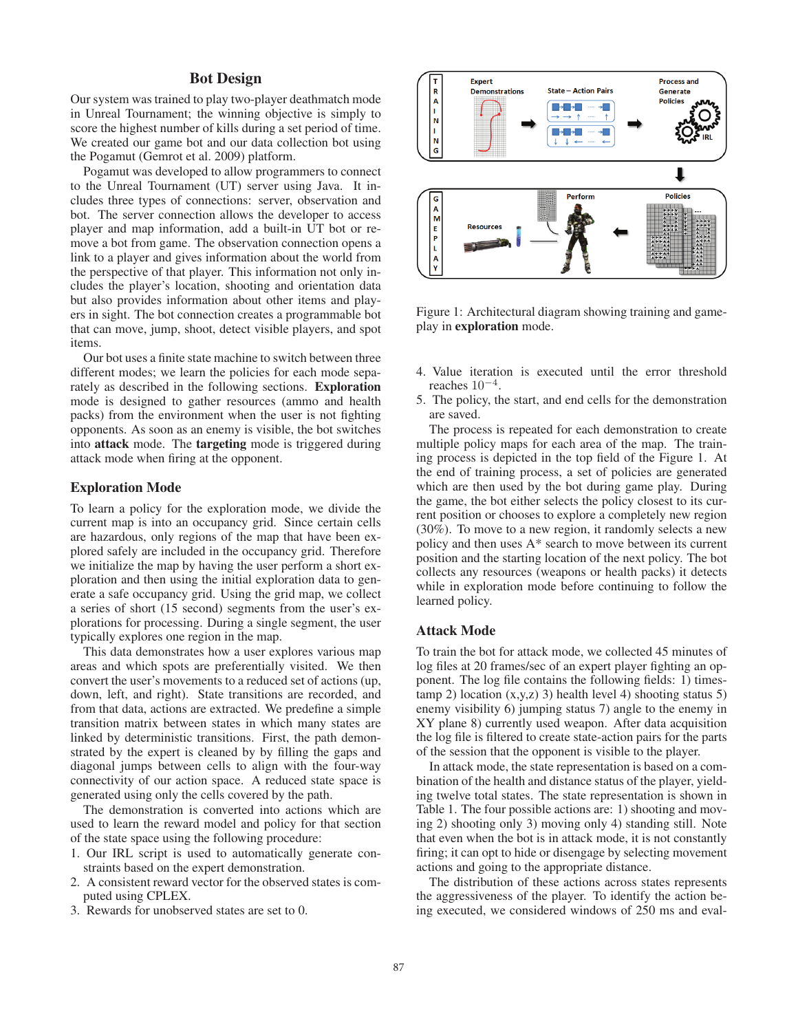# Bot Design

Our system was trained to play two-player deathmatch mode in Unreal Tournament; the winning objective is simply to score the highest number of kills during a set period of time. We created our game bot and our data collection bot using the Pogamut (Gemrot et al. 2009) platform.

Pogamut was developed to allow programmers to connect to the Unreal Tournament (UT) server using Java. It includes three types of connections: server, observation and bot. The server connection allows the developer to access player and map information, add a built-in UT bot or remove a bot from game. The observation connection opens a link to a player and gives information about the world from the perspective of that player. This information not only includes the player's location, shooting and orientation data but also provides information about other items and players in sight. The bot connection creates a programmable bot that can move, jump, shoot, detect visible players, and spot items.

Our bot uses a finite state machine to switch between three different modes; we learn the policies for each mode separately as described in the following sections. Exploration mode is designed to gather resources (ammo and health packs) from the environment when the user is not fighting opponents. As soon as an enemy is visible, the bot switches into attack mode. The targeting mode is triggered during attack mode when firing at the opponent.

#### Exploration Mode

To learn a policy for the exploration mode, we divide the current map is into an occupancy grid. Since certain cells are hazardous, only regions of the map that have been explored safely are included in the occupancy grid. Therefore we initialize the map by having the user perform a short exploration and then using the initial exploration data to generate a safe occupancy grid. Using the grid map, we collect a series of short (15 second) segments from the user's explorations for processing. During a single segment, the user typically explores one region in the map.

This data demonstrates how a user explores various map areas and which spots are preferentially visited. We then convert the user's movements to a reduced set of actions (up, down, left, and right). State transitions are recorded, and from that data, actions are extracted. We predefine a simple transition matrix between states in which many states are linked by deterministic transitions. First, the path demonstrated by the expert is cleaned by by filling the gaps and diagonal jumps between cells to align with the four-way connectivity of our action space. A reduced state space is generated using only the cells covered by the path.

The demonstration is converted into actions which are used to learn the reward model and policy for that section of the state space using the following procedure:

- 1. Our IRL script is used to automatically generate constraints based on the expert demonstration.
- 2. A consistent reward vector for the observed states is computed using CPLEX.
- 3. Rewards for unobserved states are set to 0.



Figure 1: Architectural diagram showing training and gameplay in exploration mode.

- 4. Value iteration is executed until the error threshold reaches  $10^{-4}$ .
- 5. The policy, the start, and end cells for the demonstration are saved.

The process is repeated for each demonstration to create multiple policy maps for each area of the map. The training process is depicted in the top field of the Figure 1. At the end of training process, a set of policies are generated which are then used by the bot during game play. During the game, the bot either selects the policy closest to its current position or chooses to explore a completely new region (30%). To move to a new region, it randomly selects a new policy and then uses A\* search to move between its current position and the starting location of the next policy. The bot collects any resources (weapons or health packs) it detects while in exploration mode before continuing to follow the learned policy.

# Attack Mode

To train the bot for attack mode, we collected 45 minutes of log files at 20 frames/sec of an expert player fighting an opponent. The log file contains the following fields: 1) timestamp 2) location  $(x,y,z)$  3) health level 4) shooting status 5) enemy visibility 6) jumping status 7) angle to the enemy in XY plane 8) currently used weapon. After data acquisition the log file is filtered to create state-action pairs for the parts of the session that the opponent is visible to the player.

In attack mode, the state representation is based on a combination of the health and distance status of the player, yielding twelve total states. The state representation is shown in Table 1. The four possible actions are: 1) shooting and moving 2) shooting only 3) moving only 4) standing still. Note that even when the bot is in attack mode, it is not constantly firing; it can opt to hide or disengage by selecting movement actions and going to the appropriate distance.

The distribution of these actions across states represents the aggressiveness of the player. To identify the action being executed, we considered windows of 250 ms and eval-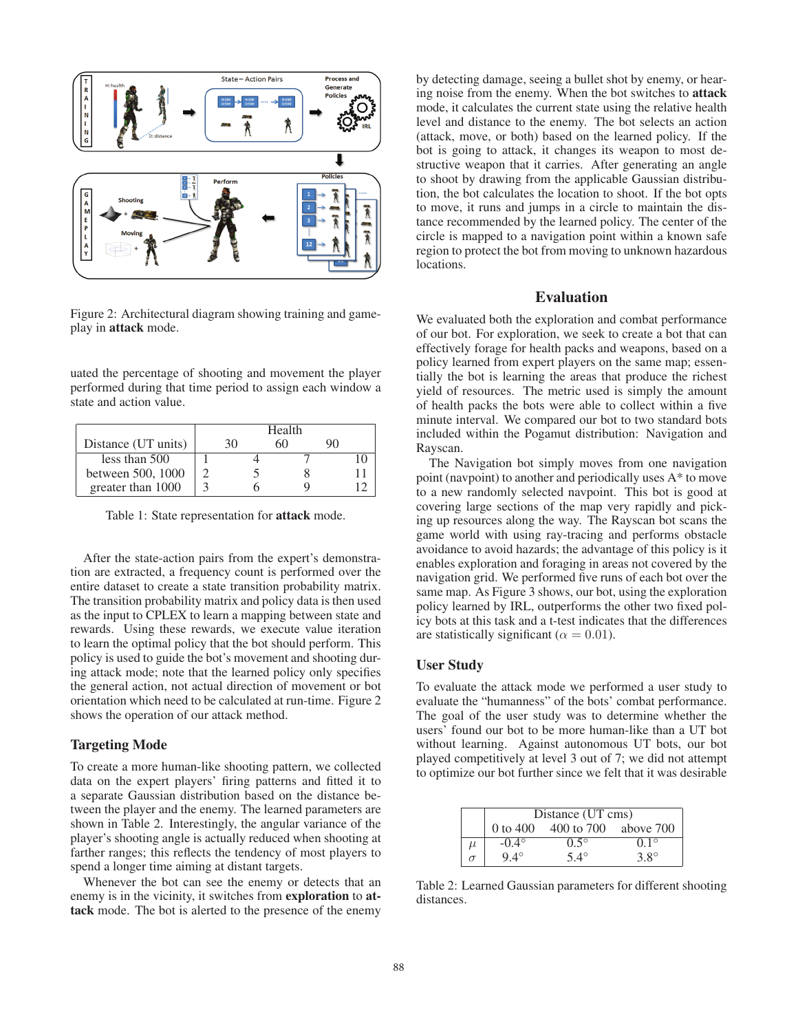

Figure 2: Architectural diagram showing training and gameplay in attack mode.

uated the percentage of shooting and movement the player performed during that time period to assign each window a state and action value.

|                     | Health |  |  |  |  |
|---------------------|--------|--|--|--|--|
| Distance (UT units) |        |  |  |  |  |
| less than 500       |        |  |  |  |  |
| between 500, 1000   |        |  |  |  |  |
| greater than 1000   |        |  |  |  |  |

Table 1: State representation for attack mode.

After the state-action pairs from the expert's demonstration are extracted, a frequency count is performed over the entire dataset to create a state transition probability matrix. The transition probability matrix and policy data is then used as the input to CPLEX to learn a mapping between state and rewards. Using these rewards, we execute value iteration to learn the optimal policy that the bot should perform. This policy is used to guide the bot's movement and shooting during attack mode; note that the learned policy only specifies the general action, not actual direction of movement or bot orientation which need to be calculated at run-time. Figure 2 shows the operation of our attack method.

## Targeting Mode

To create a more human-like shooting pattern, we collected data on the expert players' firing patterns and fitted it to a separate Gaussian distribution based on the distance between the player and the enemy. The learned parameters are shown in Table 2. Interestingly, the angular variance of the player's shooting angle is actually reduced when shooting at farther ranges; this reflects the tendency of most players to spend a longer time aiming at distant targets.

Whenever the bot can see the enemy or detects that an enemy is in the vicinity, it switches from exploration to attack mode. The bot is alerted to the presence of the enemy by detecting damage, seeing a bullet shot by enemy, or hearing noise from the enemy. When the bot switches to attack mode, it calculates the current state using the relative health level and distance to the enemy. The bot selects an action (attack, move, or both) based on the learned policy. If the bot is going to attack, it changes its weapon to most destructive weapon that it carries. After generating an angle to shoot by drawing from the applicable Gaussian distribution, the bot calculates the location to shoot. If the bot opts to move, it runs and jumps in a circle to maintain the distance recommended by the learned policy. The center of the circle is mapped to a navigation point within a known safe region to protect the bot from moving to unknown hazardous locations.

# Evaluation

We evaluated both the exploration and combat performance of our bot. For exploration, we seek to create a bot that can effectively forage for health packs and weapons, based on a policy learned from expert players on the same map; essentially the bot is learning the areas that produce the richest yield of resources. The metric used is simply the amount of health packs the bots were able to collect within a five minute interval. We compared our bot to two standard bots included within the Pogamut distribution: Navigation and Rayscan.

The Navigation bot simply moves from one navigation point (navpoint) to another and periodically uses A\* to move to a new randomly selected navpoint. This bot is good at covering large sections of the map very rapidly and picking up resources along the way. The Rayscan bot scans the game world with using ray-tracing and performs obstacle avoidance to avoid hazards; the advantage of this policy is it enables exploration and foraging in areas not covered by the navigation grid. We performed five runs of each bot over the same map. As Figure 3 shows, our bot, using the exploration policy learned by IRL, outperforms the other two fixed policy bots at this task and a t-test indicates that the differences are statistically significant ( $\alpha = 0.01$ ).

### User Study

To evaluate the attack mode we performed a user study to evaluate the "humanness" of the bots' combat performance. The goal of the user study was to determine whether the users' found our bot to be more human-like than a UT bot without learning. Against autonomous UT bots, our bot played competitively at level 3 out of 7; we did not attempt to optimize our bot further since we felt that it was desirable

|       | Distance (UT cms) |                      |             |  |
|-------|-------------------|----------------------|-------------|--|
|       | 0 to 400          | 400 to 700 above 700 |             |  |
| $\mu$ | $-0.4^{\circ}$    | $0.5^\circ$          | $0.1^\circ$ |  |
| σ     | $9.4^\circ$       | $5.4^\circ$          | $3.8^\circ$ |  |

Table 2: Learned Gaussian parameters for different shooting distances.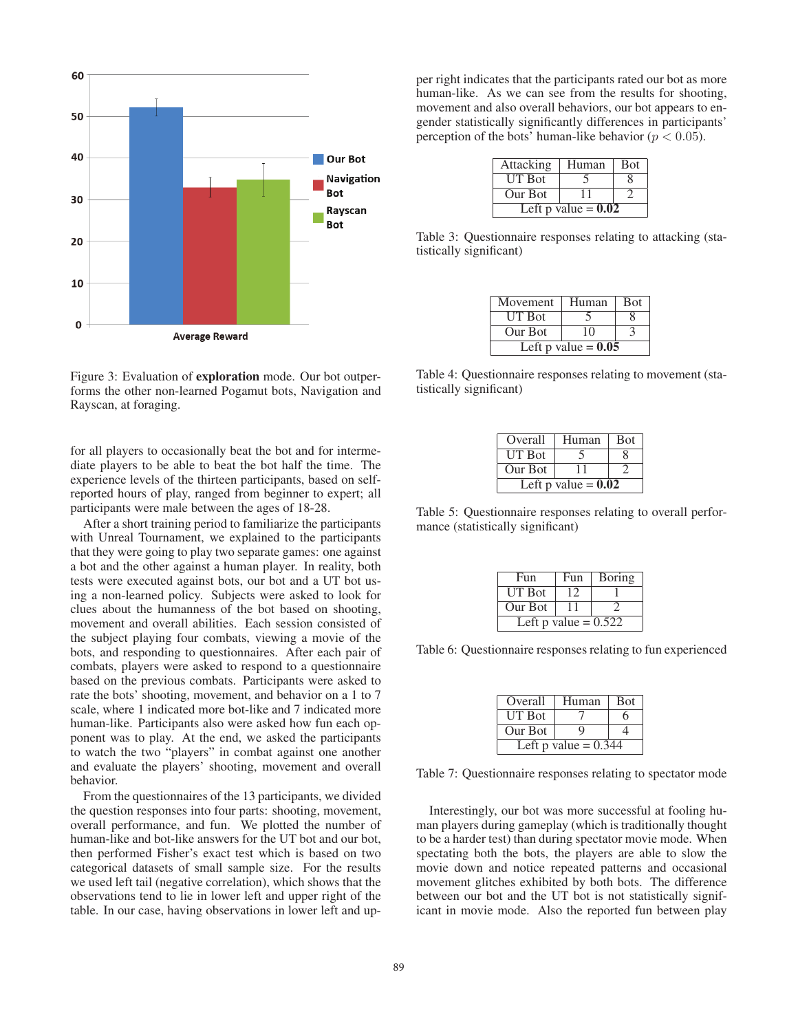

Figure 3: Evaluation of exploration mode. Our bot outperforms the other non-learned Pogamut bots, Navigation and Rayscan, at foraging.

for all players to occasionally beat the bot and for intermediate players to be able to beat the bot half the time. The experience levels of the thirteen participants, based on selfreported hours of play, ranged from beginner to expert; all participants were male between the ages of 18-28.

After a short training period to familiarize the participants with Unreal Tournament, we explained to the participants that they were going to play two separate games: one against a bot and the other against a human player. In reality, both tests were executed against bots, our bot and a UT bot using a non-learned policy. Subjects were asked to look for clues about the humanness of the bot based on shooting, movement and overall abilities. Each session consisted of the subject playing four combats, viewing a movie of the bots, and responding to questionnaires. After each pair of combats, players were asked to respond to a questionnaire based on the previous combats. Participants were asked to rate the bots' shooting, movement, and behavior on a 1 to 7 scale, where 1 indicated more bot-like and 7 indicated more human-like. Participants also were asked how fun each opponent was to play. At the end, we asked the participants to watch the two "players" in combat against one another and evaluate the players' shooting, movement and overall behavior.

From the questionnaires of the 13 participants, we divided the question responses into four parts: shooting, movement, overall performance, and fun. We plotted the number of human-like and bot-like answers for the UT bot and our bot, then performed Fisher's exact test which is based on two categorical datasets of small sample size. For the results we used left tail (negative correlation), which shows that the observations tend to lie in lower left and upper right of the table. In our case, having observations in lower left and up-

per right indicates that the participants rated our bot as more human-like. As we can see from the results for shooting, movement and also overall behaviors, our bot appears to engender statistically significantly differences in participants' perception of the bots' human-like behavior ( $p < 0.05$ ).

| Attacking             | Human | <b>Bot</b> |  |
|-----------------------|-------|------------|--|
| UT Bot                |       |            |  |
| Our Bot               | 11    |            |  |
| Left p value $= 0.02$ |       |            |  |

Table 3: Questionnaire responses relating to attacking (statistically significant)

| Movement              | Human | <b>B</b> ot |  |
|-----------------------|-------|-------------|--|
| <b>UT Bot</b>         |       |             |  |
| Our Bot<br>10         |       |             |  |
| Left p value $= 0.05$ |       |             |  |

Table 4: Questionnaire responses relating to movement (statistically significant)

| Overall               | Human | <b>Bot</b> |  |
|-----------------------|-------|------------|--|
| <b>UT Bot</b>         |       |            |  |
| Our Bot               | 11    |            |  |
| Left p value = $0.02$ |       |            |  |

Table 5: Questionnaire responses relating to overall performance (statistically significant)

| Fun                    | Fun | Boring |  |
|------------------------|-----|--------|--|
| <b>UT Bot</b>          | 12  |        |  |
| Our Bot                |     |        |  |
| Left p value = $0.522$ |     |        |  |

Table 6: Questionnaire responses relating to fun experienced

| Overall                | Human | <b>B</b> ot |  |
|------------------------|-------|-------------|--|
| UT Bot                 |       |             |  |
| Our Bot                | q     |             |  |
| Left p value $= 0.344$ |       |             |  |

Table 7: Questionnaire responses relating to spectator mode

Interestingly, our bot was more successful at fooling human players during gameplay (which is traditionally thought to be a harder test) than during spectator movie mode. When spectating both the bots, the players are able to slow the movie down and notice repeated patterns and occasional movement glitches exhibited by both bots. The difference between our bot and the UT bot is not statistically significant in movie mode. Also the reported fun between play